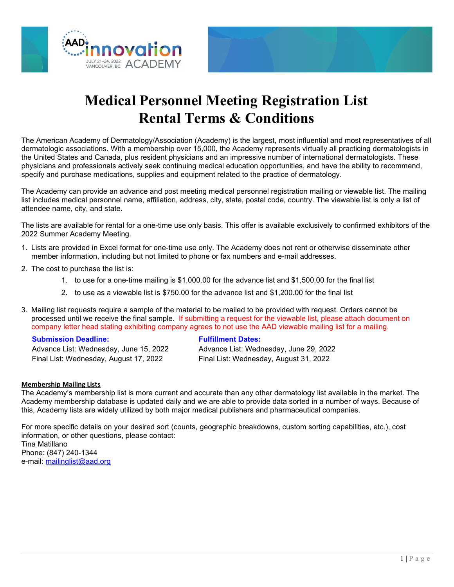



# **Medical Personnel Meeting Registration List Rental Terms & Conditions**

The American Academy of Dermatology/Association (Academy) is the largest, most influential and most representatives of all dermatologic associations. With a membership over 15,000, the Academy represents virtually all practicing dermatologists in the United States and Canada, plus resident physicians and an impressive number of international dermatologists. These physicians and professionals actively seek continuing medical education opportunities, and have the ability to recommend, specify and purchase medications, supplies and equipment related to the practice of dermatology.

The Academy can provide an advance and post meeting medical personnel registration mailing or viewable list. The mailing list includes medical personnel name, affiliation, address, city, state, postal code, country. The viewable list is only a list of attendee name, city, and state.

The lists are available for rental for a one-time use only basis. This offer is available exclusively to confirmed exhibitors of the 2022 Summer Academy Meeting.

- 1. Lists are provided in Excel format for one-time use only. The Academy does not rent or otherwise disseminate other member information, including but not limited to phone or fax numbers and e-mail addresses.
- 2. The cost to purchase the list is:
	- 1. to use for a one-time mailing is \$1,000.00 for the advance list and \$1,500.00 for the final list
	- 2. to use as a viewable list is \$750.00 for the advance list and \$1,200.00 for the final list
- 3. Mailing list requests require a sample of the material to be mailed to be provided with request. Orders cannot be processed until we receive the final sample. If submitting a request for the viewable list, please attach document on company letter head stating exhibiting company agrees to not use the AAD viewable mailing list for a mailing.

### **Submission Deadline: Fulfillment Dates:**

Advance List: Wednesday, June 15, 2022 Advance List: Wednesday, June 29, 2022 Final List: Wednesday, August 17, 2022 Final List: Wednesday, August 31, 2022

### **Membership Mailing Lists**

The Academy's membership list is more current and accurate than any other dermatology list available in the market. The Academy membership database is updated daily and we are able to provide data sorted in a number of ways. Because of this, Academy lists are widely utilized by both major medical publishers and pharmaceutical companies.

For more specific details on your desired sort (counts, geographic breakdowns, custom sorting capabilities, etc.), cost information, or other questions, please contact: Tina Matillano Phone: (847) 240-1344 e-mail: [mailinglist@aad.org](mailto:mailinglist@aad.org)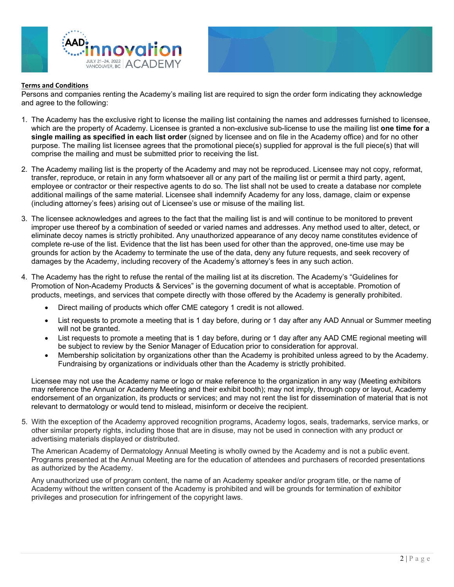



#### **Terms and Conditions**

Persons and companies renting the Academy's mailing list are required to sign the order form indicating they acknowledge and agree to the following:

- 1. The Academy has the exclusive right to license the mailing list containing the names and addresses furnished to licensee, which are the property of Academy. Licensee is granted a non-exclusive sub-license to use the mailing list **one time for a single mailing as specified in each list order** (signed by licensee and on file in the Academy office) and for no other purpose. The mailing list licensee agrees that the promotional piece(s) supplied for approval is the full piece(s) that will comprise the mailing and must be submitted prior to receiving the list.
- 2. The Academy mailing list is the property of the Academy and may not be reproduced. Licensee may not copy, reformat, transfer, reproduce, or retain in any form whatsoever all or any part of the mailing list or permit a third party, agent, employee or contractor or their respective agents to do so. The list shall not be used to create a database nor complete additional mailings of the same material. Licensee shall indemnify Academy for any loss, damage, claim or expense (including attorney's fees) arising out of Licensee's use or misuse of the mailing list.
- 3. The licensee acknowledges and agrees to the fact that the mailing list is and will continue to be monitored to prevent improper use thereof by a combination of seeded or varied names and addresses. Any method used to alter, detect, or eliminate decoy names is strictly prohibited. Any unauthorized appearance of any decoy name constitutes evidence of complete re-use of the list. Evidence that the list has been used for other than the approved, one-time use may be grounds for action by the Academy to terminate the use of the data, deny any future requests, and seek recovery of damages by the Academy, including recovery of the Academy's attorney's fees in any such action.
- 4. The Academy has the right to refuse the rental of the mailing list at its discretion. The Academy's "Guidelines for Promotion of Non-Academy Products & Services" is the governing document of what is acceptable. Promotion of products, meetings, and services that compete directly with those offered by the Academy is generally prohibited.
	- Direct mailing of products which offer CME category 1 credit is not allowed.
	- List requests to promote a meeting that is 1 day before, during or 1 day after any AAD Annual or Summer meeting will not be granted.
	- List requests to promote a meeting that is 1 day before, during or 1 day after any AAD CME regional meeting will be subject to review by the Senior Manager of Education prior to consideration for approval.
	- Membership solicitation by organizations other than the Academy is prohibited unless agreed to by the Academy. Fundraising by organizations or individuals other than the Academy is strictly prohibited.

Licensee may not use the Academy name or logo or make reference to the organization in any way (Meeting exhibitors may reference the Annual or Academy Meeting and their exhibit booth); may not imply, through copy or layout, Academy endorsement of an organization, its products or services; and may not rent the list for dissemination of material that is not relevant to dermatology or would tend to mislead, misinform or deceive the recipient.

5. With the exception of the Academy approved recognition programs, Academy logos, seals, trademarks, service marks, or other similar property rights, including those that are in disuse, may not be used in connection with any product or advertising materials displayed or distributed.

The American Academy of Dermatology Annual Meeting is wholly owned by the Academy and is not a public event. Programs presented at the Annual Meeting are for the education of attendees and purchasers of recorded presentations as authorized by the Academy.

Any unauthorized use of program content, the name of an Academy speaker and/or program title, or the name of Academy without the written consent of the Academy is prohibited and will be grounds for termination of exhibitor privileges and prosecution for infringement of the copyright laws.